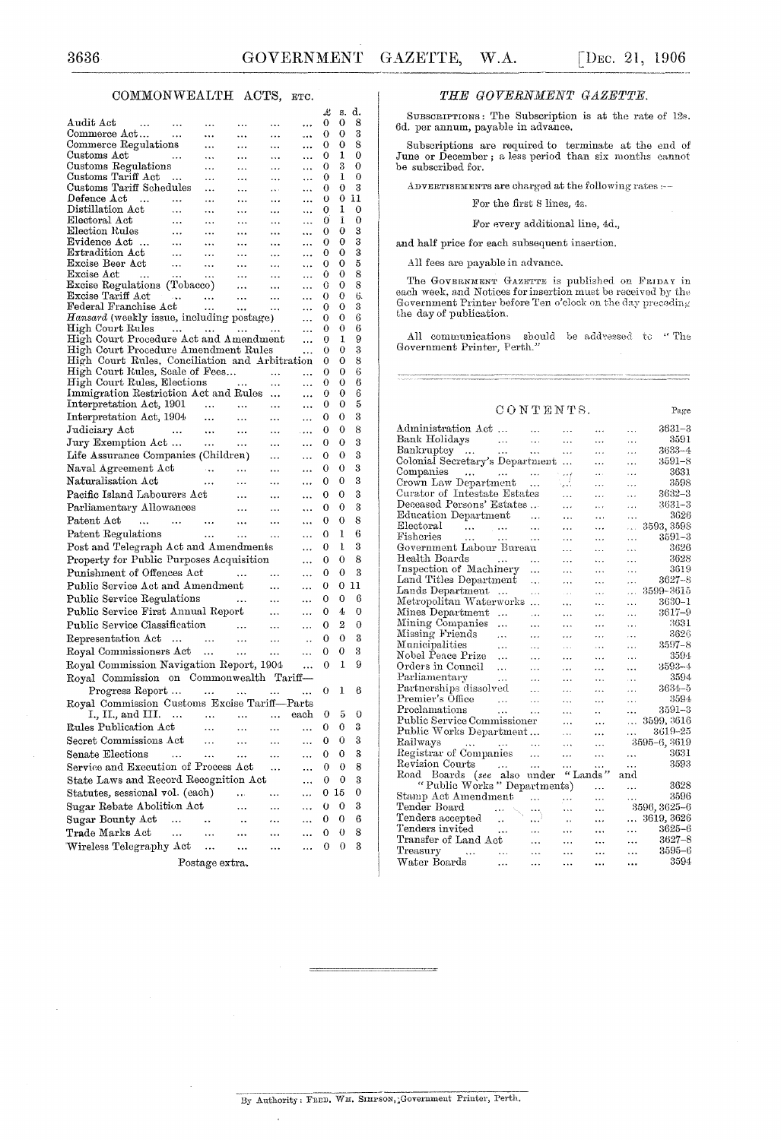Page

#### COMMONWEALTH ACTS, ETC.

|                                                                                       |                        |                 |            |                       |                | £      | s.      | d.      |  |
|---------------------------------------------------------------------------------------|------------------------|-----------------|------------|-----------------------|----------------|--------|---------|---------|--|
| $\rm{Audit \; Act}$<br>Audit Act<br>Commerce Act                                      |                        |                 | .          | .                     |                | 0      | 0       | 8       |  |
| Commerce Regulations                                                                  |                        | $\ddotsc$       |            |                       |                | 0<br>0 | 0<br>0  | 3<br>8  |  |
| Customs Act                                                                           | $\sim$ .               | $\ddotsc$       | .<br>.     | .<br>$\cdots$         | <br>           | 0      | ı       | 0       |  |
| Customs Regulations                                                                   |                        | .               | .          | .                     |                | 0      | 3       | 0       |  |
| Customs Tariff Act                                                                    | $\sim$                 | .               | $\ddotsc$  |                       | .              | 0      | 1       | 0       |  |
| Customs Tariff Schedules                                                              |                        | .               | .          | $\cdots$              |                | 0      | 0       | 3       |  |
| $Define$ $Act$<br>$\sim$ 100 $\sim$                                                   | $\ddotsc$              | $\ddotsc$       | .          | $\cdots$              |                | 0      | 0       | 11      |  |
| Distillation Act<br>Electoral Act                                                     | $\ddotsc$<br>$\ddotsc$ |                 | $\ddotsc$  |                       |                | 0<br>0 | 1<br>1  | 0<br>0  |  |
| Election Rules                                                                        | $\sim$ .               | <br>$\ddotsc$   | .<br>.     | $\ddotsc$<br>$\cdots$ | <br>           | 0      | 0       | 3       |  |
| Evidence Act                                                                          | $\sim$ .               | $\ddotsc$       |            | $\ddotsc$             |                | 0      | 0       | 3       |  |
| Extradition Act                                                                       | $\cdots$               |                 | $\ddotsc$  | $\cdots$              |                | 0      | 0       | 3       |  |
| Excise Beer Act                                                                       | $\sim$                 | $\cdots$        | $\cdots$   | $\cdots$              | $\ddotsc$      | 0      | 0       | 5       |  |
| Excise Act<br>$\sim$                                                                  | $\sim 10^{-11}$        | $\ddotsc$       | $\cdots$   | $\cdots$              | .              | 0      | 0       | 8       |  |
| Excise Regulations (Tobacco)                                                          |                        |                 | $\cdots$   | $\cdots$              | $\ddotsc$      | 0      | 0<br>0  | 8<br>6. |  |
| Excise Tariff Act<br>Federal Franchise Act                                            |                        | $\sim$ $\sim$   | $\sim 100$ | $\cdots$<br>$\ldots$  | .<br>          | 0<br>0 | 0       | 3       |  |
| Hansard (weekly issue, including postage)                                             |                        |                 |            |                       | .              | 0      | 0       | 6       |  |
| High Court Rules                                                                      |                        |                 |            |                       | $\ddotsc$      | 0      | 0       | 6       |  |
| High Court Procedure Act and Amendment                                                |                        |                 |            |                       | $\ddotsc$      | 0      | 1       | 9       |  |
| High Court Procedure Amendment Rules                                                  |                        |                 |            |                       |                | 0      | 0       | 3       |  |
| High Court Rules, Conciliation and Arbitration                                        |                        |                 |            |                       |                | 0      | 0       | 8       |  |
| High Court Rules, Scale of Fees<br>High Court Rules, Elections<br>Immigration Perfect |                        |                 |            | $\ddotsc$             |                | 0<br>0 | 0<br>0  | 6<br>6  |  |
| Immigration Restriction Act and Rules                                                 |                        |                 |            | $\ddotsc$             | .<br>$\ddotsc$ | 0      | 0       | 6       |  |
| Interpretation Act, 1901                                                              |                        |                 |            |                       |                | 0      | 0       | 5       |  |
| Interpretation Act, 1904                                                              |                        | $\sim$ .        | $\cdots$   |                       |                | 0      | 0       | 3       |  |
| Judiciary Act<br><b>Contractor</b>                                                    |                        | $\ldots$        | $\cdots$   | $\cdots$              | $\cdots$       | 0      | 0       | 8       |  |
| Jury Exemption Act                                                                    |                        | $\sim$ . $\sim$ | $\sim 100$ | $\ldots$              | $\ddotsc$      | 0      | 0       | 3       |  |
| Life Assurance Companies (Children)                                                   |                        |                 |            | $\cdots$              |                | 0      | 0       | 3       |  |
| Naval Agreement Act                                                                   |                        |                 | $\ldots$   | $\cdots$              | $\ddotsc$      | 0      | 0       | 3       |  |
| Naturalisation Act                                                                    |                        |                 |            |                       |                | 0      | 0       | 3       |  |
| Pacific Island Labourers Act                                                          |                        | $\cdots$        | $\ldots$   | $\cdots$              |                | 0      | 0       | 3       |  |
| Parliamentary Allowances                                                              |                        |                 | $\ddotsc$  | $\cdots$              | $\ddotsc$      | 0      | 0       | 3       |  |
|                                                                                       |                        |                 | $\ldots$   | .                     |                |        | 0       | 8       |  |
| Patent Act<br>$\cdots$                                                                | and the state of       |                 | $\cdots$   | $\ddotsc$             |                | 0      |         |         |  |
| Patent Regulations                                                                    |                        | $\cdots$        | $\ldots$   | $\ldots$              |                | 0      | ı       | 6       |  |
| Post and Telegraph Act and Amendments                                                 |                        |                 |            |                       | $\ddotsc$      | 0      | ı       | 3       |  |
| Property for Public Purposes Acquisition                                              |                        |                 |            |                       |                | 0      | 0       | 8       |  |
| Punishment of Offences Act                                                            |                        |                 | $\sim 100$ | $\ddotsc$             |                | 0      | 0       | 3       |  |
| Public Service Act and Amendment                                                      |                        |                 |            | $\cdots$              | $\ddotsc$      | 0      | 0       | 11      |  |
| Public Service Regulations                                                            |                        |                 | $\ldots$   | $\cdots$              |                | 0      | 0       | 6       |  |
| Public Service First Annual Report                                                    |                        |                 |            | $\cdots$              |                | 0      | 4       | 0       |  |
| Public Service Classification                                                         |                        |                 | $\cdots$   | $\cdots$              | .              | 0      | 2       | 0       |  |
| Representation Act                                                                    |                        | $\sim 100$      | $\ddotsc$  | $\ldots$              | $\ddotsc$      | 0      | 0       | 3       |  |
| Royal Commissioners Act                                                               |                        |                 | $\ldots$   | $\cdots$              | .              | 0      | 0       | 3       |  |
| Royal Commission Navigation Report, 1904                                              |                        |                 |            |                       | .              | 0      | 1       | 9       |  |
| Royal Commission on Commonwealth Tariff-                                              |                        |                 |            |                       |                |        |         |         |  |
| Progress Report                                                                       |                        |                 |            |                       |                | 0      | 1       | 6       |  |
| Royal Commission Customs Excise Tariff-Parts                                          |                        |                 |            |                       |                |        |         |         |  |
| 1., 11., and 111.                                                                     |                        |                 |            |                       | each           | 0      | $\bf 5$ | 0       |  |
| Rules Publication Act                                                                 |                        |                 |            |                       |                | 0      | 0       | 3       |  |
| Secret Commissions Act                                                                |                        |                 |            |                       |                | 0      | 0       | 3       |  |
| Senate Elections                                                                      | .                      |                 |            |                       |                | 0      | 0       | 3       |  |
| Service and Execution of Process Act                                                  |                        |                 |            |                       |                | 0      | 0       | 8       |  |
| State Laws and Record Recognition Act                                                 |                        |                 |            |                       |                | 0      | 0       | 3       |  |
| Statutes, sessional vol. (each)                                                       |                        |                 |            |                       |                | 0      | 15      | 0       |  |
| Sugar Rebate Abolition Act                                                            |                        |                 |            |                       |                | 0      | 0       | 3       |  |
| Sugar Bounty Act                                                                      | $\cdots$               |                 |            |                       |                | 0      | 0       | 6       |  |
| Trade Marks Act                                                                       | $\ddotsc$              |                 |            |                       |                | 0      | 0       | 8       |  |
| Wireless Telegraphy Act                                                               |                        |                 |            |                       |                | 0      | 0       | 3       |  |
|                                                                                       |                        |                 |            |                       |                |        |         |         |  |
|                                                                                       |                        | Postage extra.  |            |                       |                |        |         |         |  |

#### THE GOVERNMENT GAZETTE.

SUBSCRIPTIONS: The Subscription is at the rate of 12s. 6d. per annum, payable in advance.

Subscriptions are required to terminate at the end of June or December; a less period than six months cannot be subscribed for.

ADVERTISEMENTS are charged at the following rates :--

For the first 8 lines, 4s.

#### For every additional line, 4d.,

and half price for each subsequent insertion.

All fees are payable in advance.

The GOVERNMENT GAZETTE is published on FRIDAY in each week, and Notices for insertion must be received by the Government Printer before Ten o'clock on the day preceding the day of publication.

All communications should be addressed to "The Government Printer, Perth."  $\,$ 

#### CONTENTS.

| Administration Act                       |                      |                      |                      |                                   |               | $3631 - 3$   |
|------------------------------------------|----------------------|----------------------|----------------------|-----------------------------------|---------------|--------------|
| Bank Holidays                            | .                    | $\cdots$<br>$\cdots$ | .<br>$\ddotsc$       | $\ddotsc$<br>$\ddot{\phantom{a}}$ | .<br>$\cdots$ | 3591         |
| Bankruptey<br>$\sim$ .                   | $\ddotsc$            |                      |                      | .                                 | $\ddotsc$     | 3633-4       |
| Colonial Secretary's Department          |                      | $\ddotsc$            | $\ddot{\phantom{1}}$ | .                                 | .             | 3591–8       |
| Companies<br>$\ddotsc$                   |                      |                      | .                    | $\cdots$                          | .             | 3631         |
| Crown Law Department                     | $\cdots$             | .                    | تماده                | .                                 |               | 3598         |
| Curator of Intestate Estates             |                      |                      | تعو<br>$\cdots$      |                                   | .<br>.        | $3632 - 3$   |
| Deceased Persons' Estates                |                      |                      |                      | .                                 |               | $3631 - 3$   |
| Education Department                     |                      |                      | $\cdots$             | $\cdots$                          | $\ddotsc$     | 3626         |
| Electoral                                |                      | $\cdot$              | .                    | $\ddot{\phantom{a}}$              | .             | 3593, 3598   |
| فعفارت العقف<br>Fisheries<br>$\cdots$    | $\cdots$             | .                    | .                    | .                                 | وعاد          | $3591 - 3$   |
| Government Labour Bureau                 |                      | $\cdots$             | .                    | .                                 | .             | 3626         |
| Health Boards                            |                      |                      | .                    | .                                 | .             | 3628         |
| Inspection of Machinery                  |                      | .                    | .                    | $\ddotsc$                         | .             | 3619         |
| Land Titles Department                   |                      | .                    | $\cdots$             | .                                 | .             | 3627-8       |
| Lands Department                         |                      | $\ddotsc$            | .                    | .                                 | .             | 3599–3615    |
| Metropolitan Waterworks                  | $\cdots$             | $\ddotsc$            | $\sim$               | .                                 | .             | 3630-1       |
| Mines Department                         |                      | .                    | $\ddotsc$            | .                                 | .             | 3617-9       |
|                                          | $\ddotsc$            | .                    | $\ddotsc$            | $\ddotsc$                         | $\cdots$      | 3631         |
| Mining Companies                         | $\ddotsc$            | .                    | .                    | $\cdots$                          | $\cdots$      | 3626         |
| Missing Friends                          | .                    | .                    |                      |                                   | .             |              |
| Municipalities                           | $\ddotsc$            | $\ddotsc$            | $\cdots$             | $\ddotsc$                         | .             | 3597–8       |
| Nobel Peace Prize                        | .                    | .                    | $\cdots$             | $\cdots$                          | .             | 3594         |
| Orders in Council                        | $\cdots$             | .                    | .                    |                                   | $\ddotsc$     | $3593 - 4$   |
| Parliamentary                            | $\cdots$             | $\ddotsc$            | .                    | $\ddotsc$                         |               | 3594         |
| Partnerships dissolved                   |                      | $\ddotsc$            | .                    | $\cdot$                           | .             | $3634 - 5$   |
| Premier's Office                         | $\cdots$             | .                    | .                    | $\ddotsc$                         | $\cdots$      | 3594         |
| Proclamations                            | $\cdots$             | .                    | .                    | $\ddot{\phantom{0}}$              | .             | 3591-3       |
| Public Service Commissioner              |                      |                      | .                    | .                                 | $\cdots$      | 3599, 3616   |
| Public Works Department                  |                      |                      | $\cdots$             | .                                 |               | 3619-25      |
| Railways<br>and the contract of the con- |                      |                      | .                    | .                                 |               | 3595-6, 3619 |
| Registrar of Companies                   |                      | $\ddotsc$            | .                    | .                                 | .             | 3631         |
| Revision Courts                          | $\ldots$             | $\ddotsc$            | .                    | .                                 | .             | 3593         |
| Road Boards (see also under              |                      |                      | " Lands              |                                   | and           |              |
| "Public Works" Departments)              |                      |                      |                      | .                                 | .             | 3628         |
| Stamp Act Amendment                      |                      | .                    |                      |                                   | .             | 3596         |
| Tender Board                             | .                    |                      | .                    | $\ddotsc$                         |               | 3596, 3625-6 |
| Tenders accepted                         | $\ddot{\phantom{a}}$ | $\cdots$             | ٠.                   | $\ddotsc$                         | .             | 3619, 3626   |
| Tenders invited                          | $\ddotsc$            | .                    | .                    | $\ddotsc$                         | $\ddotsc$     | $3625 - 6$   |
| Transfer of Land Act                     |                      | .                    | .                    |                                   | $\ddotsc$     | $3627 - 8$   |
| Treasury<br>$\cdots$                     | $\ddotsc$            |                      |                      |                                   | $\ddotsc$     | $3595 - 6$   |
| Water Boards                             | .                    |                      | .                    | $\ddotsc$                         | $\ddotsc$     | 3594         |
|                                          |                      |                      |                      |                                   |               |              |